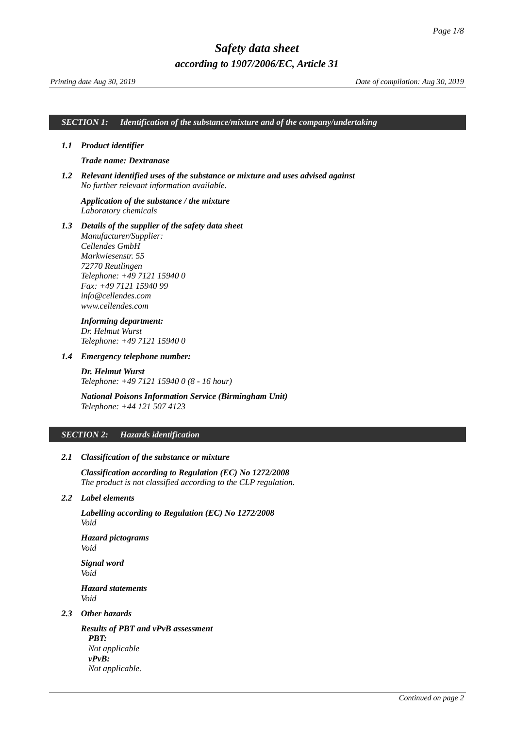#### *SECTION 1: Identification of the substance/mixture and of the company/undertaking*

#### *1.1 Product identifier*

# <span id="page-0-0"></span>*Trade name: Dextranase*

*1.2 Relevant identified uses of the substance or mixture and uses advised against No further relevant information available.*

# *Application of the substance / the mixture Laboratory chemicals*

*1.3 Details of the supplier of the safety data sheet Manufacturer/Supplier: Cellendes GmbH Markwiesenstr. 55 72770 Reutlingen Telephone: +49 7121 15940 0 Fax: +49 7121 15940 99 info@cellendes.com www.cellendes.com*

# *Informing department:*

*Dr. Helmut Wurst Telephone: +49 7121 15940 0*

#### *1.4 Emergency telephone number:*

*Dr. Helmut Wurst Telephone: +49 7121 15940 0 (8 - 16 hour)*

# *National Poisons Information Service (Birmingham Unit) Telephone: +44 121 507 4123*

#### *SECTION 2: Hazards identification*

## *2.1 Classification of the substance or mixture*

*Classification according to Regulation (EC) No 1272/2008 The product is not classified according to the CLP regulation.*

## *2.2 Label elements*

*Labelling according to Regulation (EC) No 1272/2008 Void*

*Hazard pictograms Void*

*Signal word Void Hazard statements Void*

# *2.3 Other hazards*

*Results of PBT and vPvB assessment PBT: Not applicable vPvB: Not applicable.*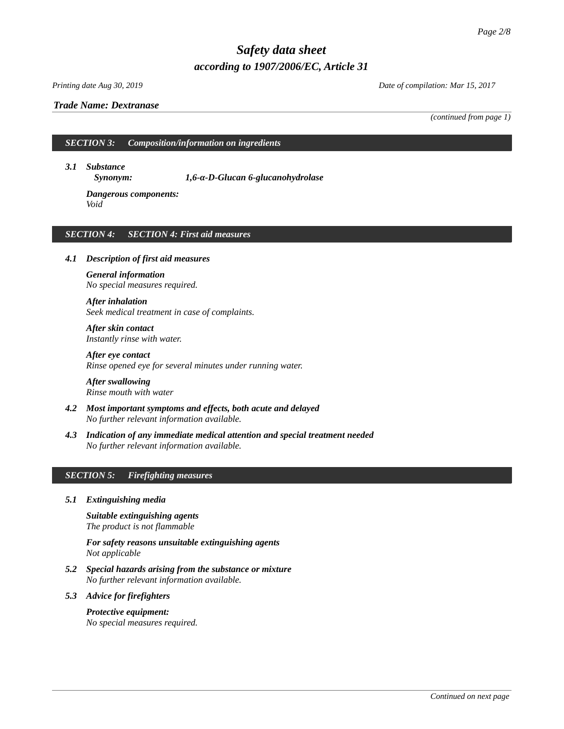## *Trade Name: [Dextranase](#page-0-0)*

*Printing date Aug 30, 2019 Date of compilation: Mar 15, 2017*

*(continued from page 1)*

*SECTION 3: Composition/information on ingredients*

*3.1 Substance*

*Synonym: 1,6-α-D-Glucan 6-glucanohydrolase*

*Dangerous components: Void*

# *SECTION 4: SECTION 4: First aid measures*

# *4.1 Description of first aid measures*

*General information No special measures required.*

*After inhalation Seek medical treatment in case of complaints.*

*After skin contact Instantly rinse with water.*

*After eye contact Rinse opened eye for several minutes under running water.*

*After swallowing Rinse mouth with water*

- *4.2 Most important symptoms and effects, both acute and delayed No further relevant information available.*
- *4.3 Indication of any immediate medical attention and special treatment needed No further relevant information available.*

# *SECTION 5: Firefighting measures*

*5.1 Extinguishing media*

*Suitable extinguishing agents The product is not flammable*

*For safety reasons unsuitable extinguishing agents Not applicable*

*5.2 Special hazards arising from the substance or mixture No further relevant information available.*

#### *5.3 Advice for firefighters*

# *Protective equipment:*

*No special measures required.*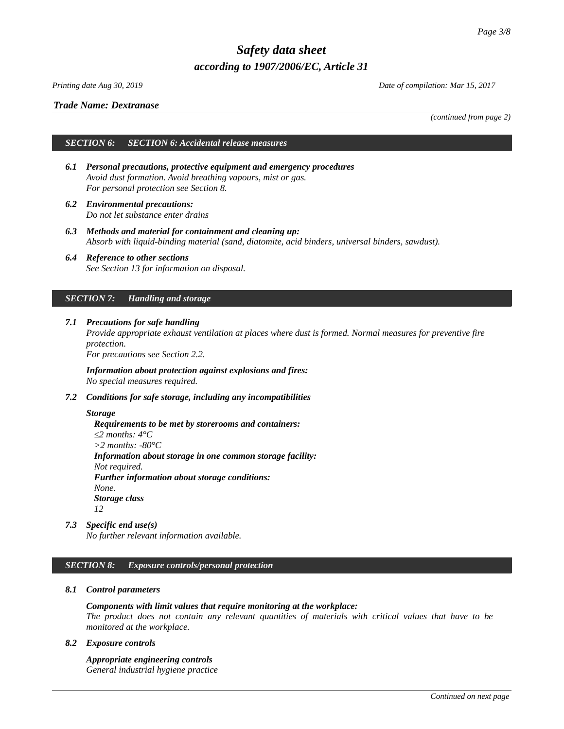*Printing date Aug 30, 2019 Date of compilation: Mar 15, 2017*

*(continued from page 2)*

# *Trade Name: [Dextranase](#page-0-0)*

*SECTION 6: SECTION 6: Accidental release measures* 

- *6.1 Personal precautions, protective equipment and emergency procedures Avoid dust formation. Avoid breathing vapours, mist or gas. For personal protection see Section 8.*
- *6.2 Environmental precautions: Do not let substance enter drains*
- *6.3 Methods and material for containment and cleaning up: Absorb with liquid-binding material (sand, diatomite, acid binders, universal binders, sawdust).*
- *6.4 Reference to other sections See Section 13 for information on disposal.*

# *SECTION 7: Handling and storage*

*7.1 Precautions for safe handling Provide appropriate exhaust ventilation at places where dust is formed. Normal measures for preventive fire protection.*

*For precautions see Section 2.2.*

*Information about protection against explosions and fires: No special measures required.*

*7.2 Conditions for safe storage, including any incompatibilities*

# *Storage*

*Requirements to be met by storerooms and containers:*

*≤2 months: 4°C*

*>2 months: -80°C*

*Information about storage in one common storage facility: Not required.*

*Further information about storage conditions:*

*None. Storage class*

*12*

*7.3 Specific end use(s)*

*No further relevant information available.*

# *SECTION 8: Exposure controls/personal protection*

# *8.1 Control parameters*

# *Components with limit values that require monitoring at the workplace:*

*The product does not contain any relevant quantities of materials with critical values that have to be monitored at the workplace.*

# *8.2 Exposure controls*

*Appropriate engineering controls General industrial hygiene practice*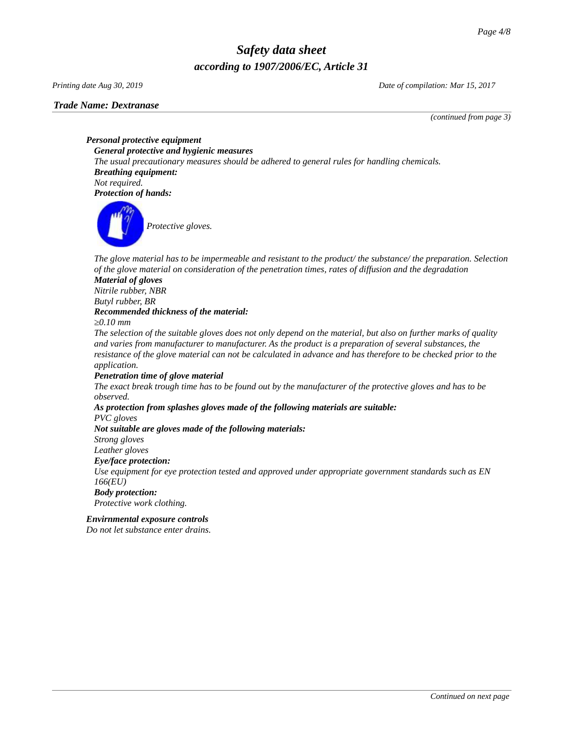### *Trade Name: [Dextranase](#page-0-0)*

*Printing date Aug 30, 2019 Date of compilation: Mar 15, 2017*

*(continued from page 3)*

*Personal protective equipment General protective and hygienic measures The usual precautionary measures should be adhered to general rules for handling chemicals. Breathing equipment: Not required. Protection of hands:*



*The glove material has to be impermeable and resistant to the product/ the substance/ the preparation. Selection of the glove material on consideration of the penetration times, rates of diffusion and the degradation*

# *Material of gloves*

*Nitrile rubber, NBR*

*Butyl rubber, BR*

#### *Recommended thickness of the material:*

*≥0.10 mm*

*The selection of the suitable gloves does not only depend on the material, but also on further marks of quality and varies from manufacturer to manufacturer. As the product is a preparation of several substances, the resistance of the glove material can not be calculated in advance and has therefore to be checked prior to the application.*

# *Penetration time of glove material*

*The exact break trough time has to be found out by the manufacturer of the protective gloves and has to be observed.*

# *As protection from splashes gloves made of the following materials are suitable:*

*PVC gloves*

# *Not suitable are gloves made of the following materials:*

*Strong gloves*

*Leather gloves*

# *Eye/face protection:*

*Use equipment for eye protection tested and approved under appropriate government standards such as EN 166(EU)*

# *Body protection:*

*Protective work clothing.*

# *Envirnmental exposure controls*

*Do not let substance enter drains.*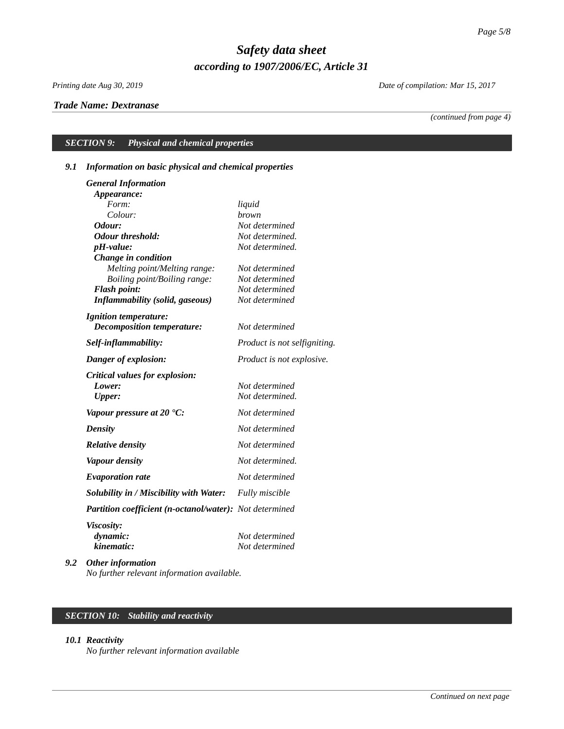# *Trade Name: [Dextranase](#page-0-0)*

*Printing date Aug 30, 2019 Date of compilation: Mar 15, 2017*

*(continued from page 4)*

# *SECTION 9: Physical and chemical properties*

# *9.1 Information on basic physical and chemical properties*

| <b>General Information</b>                              |                                  |
|---------------------------------------------------------|----------------------------------|
| Appearance:                                             |                                  |
| Form:                                                   | liquid                           |
| Colour:                                                 | brown                            |
| Odour:                                                  | Not determined                   |
| <b>Odour threshold:</b>                                 | Not determined.                  |
| pH-value:                                               | Not determined.                  |
| Change in condition                                     |                                  |
| Melting point/Melting range:                            | Not determined                   |
| Boiling point/Boiling range:                            | Not determined                   |
| <b>Flash point:</b>                                     | Not determined<br>Not determined |
| <b>Inflammability (solid, gaseous)</b>                  |                                  |
| <b>Ignition temperature:</b>                            |                                  |
| Decomposition temperature:                              | Not determined                   |
| Self-inflammability:                                    | Product is not selfigniting.     |
| Danger of explosion:                                    | Product is not explosive.        |
| <b>Critical values for explosion:</b>                   |                                  |
| Lower:                                                  | Not determined                   |
| <b>Upper:</b>                                           | Not determined.                  |
| Vapour pressure at 20 $^{\circ}$ C:                     | Not determined                   |
| <b>Density</b>                                          | Not determined                   |
| <b>Relative density</b>                                 | Not determined                   |
| <b>Vapour density</b>                                   | Not determined.                  |
| <b>Evaporation rate</b>                                 | Not determined                   |
| Solubility in / Miscibility with Water:                 | Fully miscible                   |
| Partition coefficient (n-octanol/water): Not determined |                                  |
| <i>Viscosity:</i>                                       |                                  |
| dynamic:                                                | Not determined                   |
| kinematic:                                              | Not determined                   |
| $\Omega$ de en inferm<br>.                              |                                  |

*9.2 Other information No further relevant information available.*

# *SECTION 10: Stability and reactivity*

## *10.1 Reactivity*

*No further relevant information available*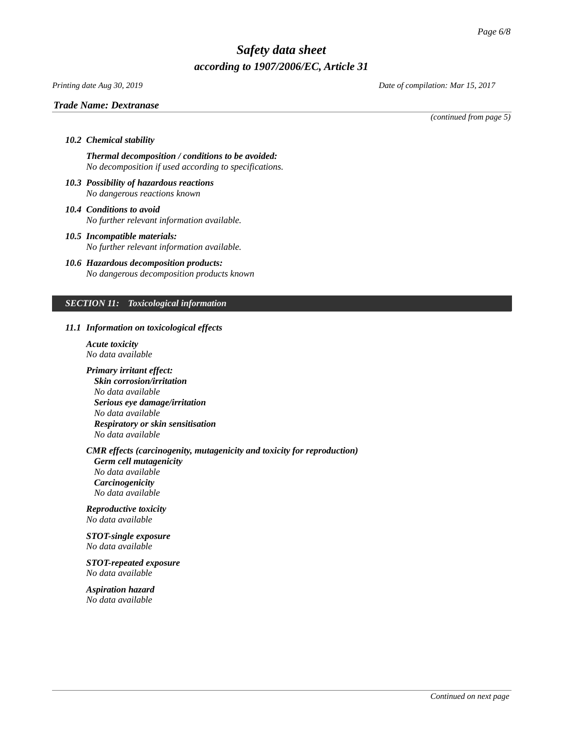# *Printing date Aug 30, 2019 Date of compilation: Mar 15, 2017*

# *Trade Name: [Dextranase](#page-0-0)*

*(continued from page 5)*

#### *10.2 Chemical stability*

*Thermal decomposition / conditions to be avoided: No decomposition if used according to specifications.*

- *10.3 Possibility of hazardous reactions No dangerous reactions known*
- *10.4 Conditions to avoid No further relevant information available.*
- *10.5 Incompatible materials: No further relevant information available.*
- *10.6 Hazardous decomposition products: No dangerous decomposition products known*

# *SECTION 11: Toxicological information*

#### *11.1 Information on toxicological effects*

*Acute toxicity No data available*

*Primary irritant effect:*

*Skin corrosion/irritation No data available Serious eye damage/irritation No data available Respiratory or skin sensitisation No data available*

# *CMR effects (carcinogenity, mutagenicity and toxicity for reproduction)*

*Germ cell mutagenicity No data available Carcinogenicity No data available*

*Reproductive toxicity No data available*

# *STOT-single exposure*

*No data available*

# *STOT-repeated exposure No data available*

*Aspiration hazard No data available*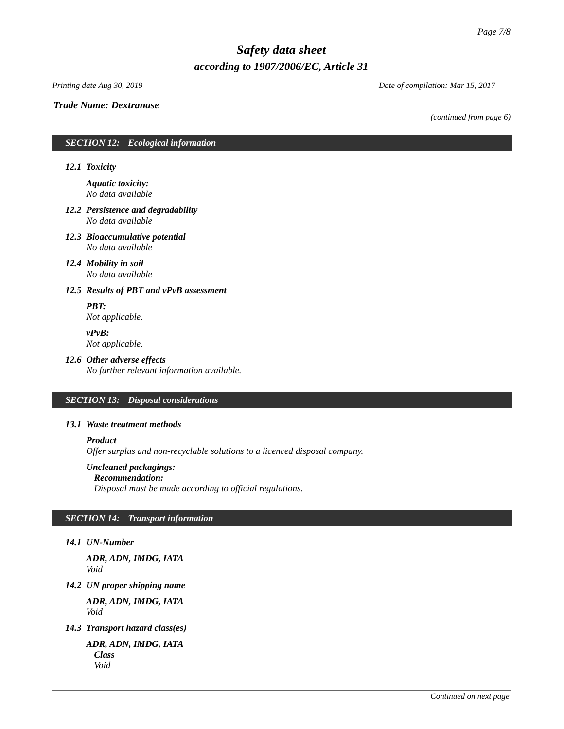# *Trade Name: [Dextranase](#page-0-0)*

*Printing date Aug 30, 2019 Date of compilation: Mar 15, 2017*

*(continued from page 6)*

# *SECTION 12: Ecological information*

*12.1 Toxicity*

*Aquatic toxicity: No data available*

- *12.2 Persistence and degradability No data available*
- *12.3 Bioaccumulative potential No data available*
- *12.4 Mobility in soil No data available*

# *12.5 Results of PBT and vPvB assessment*

*PBT: Not applicable.*

*vPvB:*

# *Not applicable.*

# *12.6 Other adverse effects*

*No further relevant information available.*

# *SECTION 13: Disposal considerations*

# *13.1 Waste treatment methods*

*Product*

*Offer surplus and non-recyclable solutions to a licenced disposal company.*

# *Uncleaned packagings:*

*Recommendation: Disposal must be made according to official regulations.*

# *SECTION 14: Transport information*

# *14.1 UN-Number*

*ADR, ADN, IMDG, IATA Void*

*14.2 UN proper shipping name*

*ADR, ADN, IMDG, IATA Void*

*14.3 Transport hazard class(es)*

*ADR, ADN, IMDG, IATA Class Void*